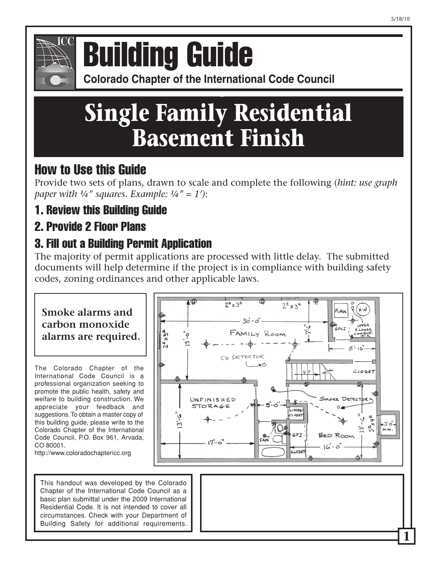## **Colorado Chapter of the International Conference of Building Officials** Building Guide

**Colorado Chapter of the International Code Council** 

# **Single Family Residential Basement Finish**

## How to Use this Guide

Provide two sets of plans, drawn to scale and complete the following (*hint: use graph paper with ¼" squares*. *Example: ¼" = 1')*:

1. Review this Building Guide

## 2. Provide 2 Floor Plans

## 3. Fill out a Building Permit Application

The majority of permit applications are processed with little delay. The submitted documents will help determine if the project is in compliance with building safety codes, zoning ordinances and other applicable laws.

### **Smoke alarms and carbon monoxide alarms are required.**

The Colorado Chapter of the International Code Council is a professional organization seeking to promote the public health, safety and welfare to building construction. We appreciate your feedback and suggestions.To obtain a master copy of this building guide, please write to the Colorado Chapter of the International Code Council, P.O. Box 961, Arvada, CO 80001.

http://www.coloradochaptericc.org

This handout was developed by the Colorado Chapter of the International Code Council as a basic plan submittal under the 2009 International Residential Code. It is not intended to cover all circumstances. Check with your Department of Building Safety for additional requirements.

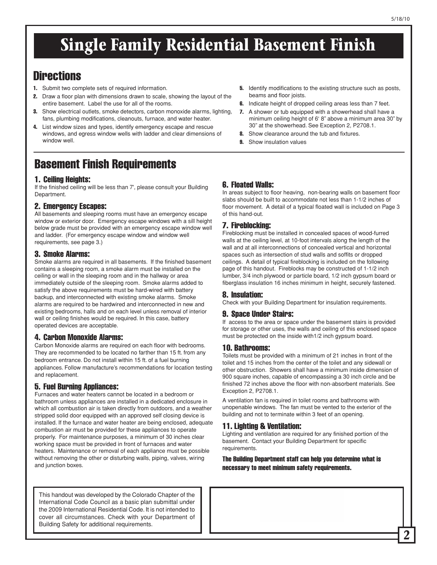## **Single Family Residential Basement Finish**

### **Directions**

- 1. Submit two complete sets of required information.
- 2. Draw a floor plan with dimensions drawn to scale, showing the layout of the entire basement. Label the use for all of the rooms.
- **3.** Show electrical outlets, smoke detectors, carbon monoxide alarms, lighting, fans, plumbing modifications, cleanouts, furnace, and water heater.
- 4. List window sizes and types, identify emergency escape and rescue windows, and egress window wells with ladder and clear dimensions of window well.

## Basement Finish Requirements

#### 1. Ceiling Heights:

If the finished ceiling will be less than 7', please consult your Building Department.

#### 2. Emergency Escapes:

All basements and sleeping rooms must have an emergency escape window or exterior door. Emergency escape windows with a sill height below grade must be provided with an emergency escape window well and ladder. (For emergency escape window and window well requirements, see page 3.)

#### 3. Smoke Alarms:

Smoke alarms are required in all basements. If the finished basement contains a sleeping room, a smoke alarm must be installed on the ceiling or wall in the sleeping room and in the hallway or area immediately outside of the sleeping room. Smoke alarms added to satisfy the above requirements must be hard-wired with battery backup, and interconnected with existing smoke alarms. Smoke alarms are required to be hardwired and interconnected in new and existing bedrooms, halls and on each level unless removal of interior wall or ceiling finishes would be required. In this case, battery operated devices are acceptable.

#### 4. Carbon Monoxide Alarms:

Carbon Monoxide alarms are required on each floor with bedrooms. They are recommended to be located no farther than 15 ft. from any bedroom entrance. Do not install within 15 ft. of a fuel burning appliances. Follow manufacture's recommendations for location testing and replacement.

#### 5. Fuel Burning Appliances:

Furnaces and water heaters cannot be located in a bedroom or bathroom unless appliances are installed in a dedicated enclosure in which all combustion air is taken directly from outdoors, and a weather stripped solid door equipped with an approved self closing device is installed. If the furnace and water heater are being enclosed, adequate combustion air must be provided for these appliances to operate properly. For maintenance purposes, a minimum of 30 inches clear working space must be provided in front of furnaces and water heaters. Maintenance or removal of each appliance must be possible without removing the other or disturbing walls, piping, valves, wiring and junction boxes.

This handout was developed by the Colorado Chapter of the International Code Council as a basic plan submittal under the 2009 International Residential Code. It is not intended to cover all circumstances. Check with your Department of Building Safety for additional requirements.

- **5.** Identify modifications to the existing structure such as posts, beams and floor joists.
- **6.** Indicate height of dropped ceiling areas less than 7 feet.
- 7. A shower or tub equipped with a showerhead shall have a minimum ceiling height of 6' 8" above a minimum area 30" by 30" at the showerhead. See Exception 2, P2708.1.
- 8. Show clearance around the tub and fixtures.
- **9.** Show insulation values

#### 6. Floated Walls:

In areas subject to floor heaving, non-bearing walls on basement floor slabs should be built to accommodate not less than 1-1/2 inches of floor movement. A detail of a typical floated wall is included on Page 3 of this hand-out.

#### 7. Fireblocking:

Fireblocking must be installed in concealed spaces of wood-furred walls at the ceiling level, at 10-foot intervals along the length of the wall and at all interconnections of concealed vertical and horizontal spaces such as intersection of stud walls and soffits or dropped ceilings. A detail of typical fireblocking is included on the following page of this handout. Fireblocks may be constructed of 1-1/2 inch lumber, 3/4 inch plywood or particle board, 1/2 inch gypsum board or fiberglass insulation 16 inches minimum in height, securely fastened.

#### 8. Insulation:

Check with your Building Department for insulation requirements.

#### 9. Space Under Stairs:

If access to the area or space under the basement stairs is provided for storage or other uses, the walls and ceiling of this enclosed space must be protected on the inside with1/2 inch gypsum board.

#### 10. Bathrooms:

Toilets must be provided with a minimum of 21 inches in front of the toilet and 15 inches from the center of the toilet and any sidewall or other obstruction. Showers shall have a minimum inside dimension of 900 square inches, capable of encompassing a 30 inch circle and be finished 72 inches above the floor with non-absorbent materials. See Exception 2, P2708.1.

A ventilation fan is required in toilet rooms and bathrooms with unopenable windows. The fan must be vented to the exterior of the building and not to terminate within 3 feet of an opening.

#### 11. Lighting & Ventilation:

Lighting and ventilation are required for any finished portion of the basement. Contact your Building Department for specific requirements.

The Building Department staff can help you determine what is necessary to meet minimum safety requirements.